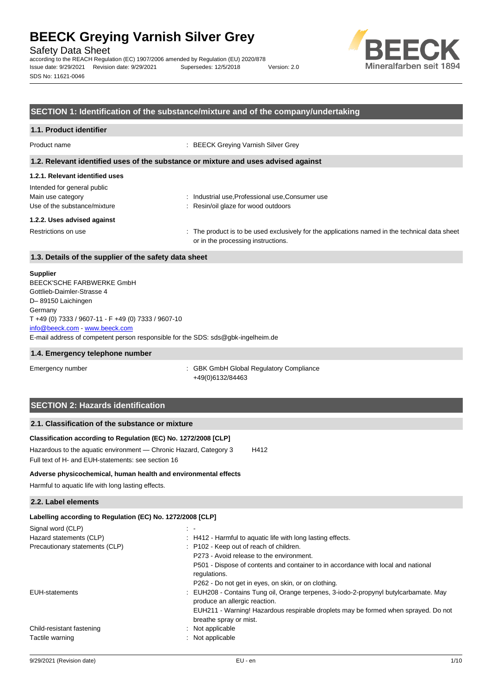Safety Data Sheet

according to the REACH Regulation (EC) 1907/2006 amended by Regulation (EU) 2020/878 Issue date: 9/29/2021 Revision date: 9/29/2021 Supersedes: 12/5/2018 Version: 2.0 SDS No: 11621-0046



## **SECTION 1: Identification of the substance/mixture and of the company/undertaking**

#### **1.1. Product identifier**

Product name **Internal Contract Contract Contract Contract Contract Contract Contract Contract Contract Contract Contract Contract Contract Contract Contract Contract Contract Contract Contract Contract Contract Contract C** 

#### **1.2. Relevant identified uses of the substance or mixture and uses advised against**

## **1.2.1. Relevant identified uses**

| Intended for general public  |                                                  |
|------------------------------|--------------------------------------------------|
| Main use category            | : Industrial use, Professional use, Consumer use |
| Use of the substance/mixture | : Resin/oil glaze for wood outdoors              |
| 1.2.2. Uses advised against  |                                                  |
|                              |                                                  |

Restrictions on use example of the product is to be used exclusively for the applications named in the technical data sheet or in the processing instructions.

## **1.3. Details of the supplier of the safety data sheet**

#### **Supplier**

E-mail address of competent person responsible for the SDS: sds@gbk-ingelheim.de BEECK'SCHE FARBWERKE GmbH Gottlieb-Daimler-Strasse 4 D– 89150 Laichingen **Germany** T +49 (0) 7333 / 9607-11 - F +49 (0) 7333 / 9607-10 [info@beeck.com](mailto:info@beeck.com) - [www.beeck.com](http://www.beeck.com/)

#### **1.4. Emergency telephone number**

Emergency number **Emergency** number **1996** is GBK GmbH Global Regulatory Compliance +49(0)6132/84463

# **SECTION 2: Hazards identification**

## **2.1. Classification of the substance or mixture**

### **Classification according to Regulation (EC) No. 1272/2008 [CLP]**

Hazardous to the aquatic environment - Chronic Hazard, Category 3 H412 Full text of H- and EUH-statements: see section 16

#### **Adverse physicochemical, human health and environmental effects**

Harmful to aquatic life with long lasting effects.

### **2.2. Label elements**

| Labelling according to Regulation (EC) No. 1272/2008 [CLP]                                                            |
|-----------------------------------------------------------------------------------------------------------------------|
| $\sim$ $\sim$                                                                                                         |
| : H412 - Harmful to aquatic life with long lasting effects.                                                           |
| : P102 - Keep out of reach of children.                                                                               |
| P273 - Avoid release to the environment.                                                                              |
| P501 - Dispose of contents and container to in accordance with local and national<br>regulations.                     |
| P262 - Do not get in eyes, on skin, or on clothing.                                                                   |
| : EUH208 - Contains Tung oil, Orange terpenes, 3-iodo-2-propynyl butylcarbamate. May<br>produce an allergic reaction. |
| EUH211 - Warning! Hazardous respirable droplets may be formed when sprayed. Do not<br>breathe spray or mist.          |
| : Not applicable                                                                                                      |
| : Not applicable                                                                                                      |
|                                                                                                                       |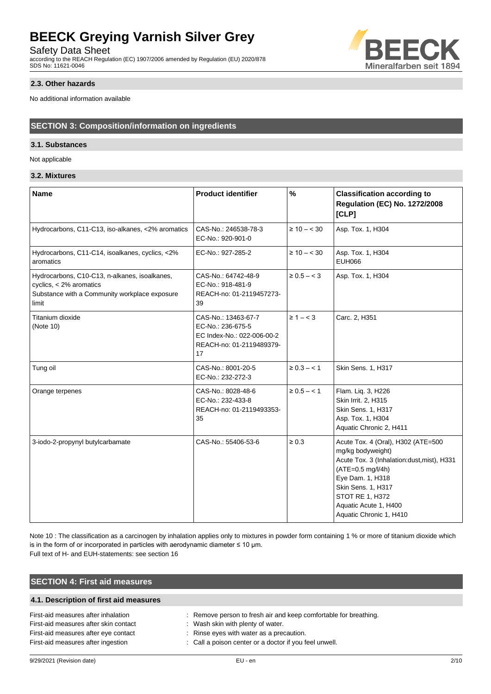Safety Data Sheet

according to the REACH Regulation (EC) 1907/2006 amended by Regulation (EU) 2020/878 SDS No: 11621-0046

### **2.3. Other hazards**

No additional information available

# **SECTION 3: Composition/information on ingredients**

## **3.1. Substances**

Not applicable

# **3.2. Mixtures**

| <b>Name</b>                                                                                                                          | <b>Product identifier</b>                                                                                | $\%$             | <b>Classification according to</b><br><b>Regulation (EC) No. 1272/2008</b><br>[CLP]                                                                                                                                                                |
|--------------------------------------------------------------------------------------------------------------------------------------|----------------------------------------------------------------------------------------------------------|------------------|----------------------------------------------------------------------------------------------------------------------------------------------------------------------------------------------------------------------------------------------------|
| Hydrocarbons, C11-C13, iso-alkanes, <2% aromatics                                                                                    | CAS-No.: 246538-78-3<br>EC-No.: 920-901-0                                                                | $\geq 10 - < 30$ | Asp. Tox. 1, H304                                                                                                                                                                                                                                  |
| Hydrocarbons, C11-C14, isoalkanes, cyclics, <2%<br>aromatics                                                                         | EC-No.: 927-285-2                                                                                        | $\geq 10 - < 30$ | Asp. Tox. 1, H304<br><b>EUH066</b>                                                                                                                                                                                                                 |
| Hydrocarbons, C10-C13, n-alkanes, isoalkanes,<br>cyclics, $<$ 2% aromatics<br>Substance with a Community workplace exposure<br>limit | CAS-No.: 64742-48-9<br>EC-No.: 918-481-9<br>REACH-no: 01-2119457273-<br>39                               | $\ge 0.5 - < 3$  | Asp. Tox. 1, H304                                                                                                                                                                                                                                  |
| Titanium dioxide<br>(Note 10)                                                                                                        | CAS-No.: 13463-67-7<br>EC-No.: 236-675-5<br>EC Index-No.: 022-006-00-2<br>REACH-no: 01-2119489379-<br>17 | $\geq 1 - < 3$   | Carc. 2, H351                                                                                                                                                                                                                                      |
| Tung oil                                                                                                                             | CAS-No.: 8001-20-5<br>EC-No.: 232-272-3                                                                  | $\ge 0.3 - < 1$  | Skin Sens. 1, H317                                                                                                                                                                                                                                 |
| Orange terpenes                                                                                                                      | CAS-No.: 8028-48-6<br>EC-No.: 232-433-8<br>REACH-no: 01-2119493353-<br>35                                | $\ge 0.5 - < 1$  | Flam. Liq. 3, H226<br>Skin Irrit. 2, H315<br>Skin Sens. 1, H317<br>Asp. Tox. 1, H304<br>Aquatic Chronic 2, H411                                                                                                                                    |
| 3-iodo-2-propynyl butylcarbamate                                                                                                     | CAS-No.: 55406-53-6                                                                                      | $\geq 0.3$       | Acute Tox. 4 (Oral), H302 (ATE=500<br>mg/kg bodyweight)<br>Acute Tox. 3 (Inhalation:dust, mist), H331<br>(ATE=0.5 mg/l/4h)<br>Eye Dam. 1, H318<br>Skin Sens. 1, H317<br><b>STOT RE 1, H372</b><br>Aquatic Acute 1, H400<br>Aquatic Chronic 1, H410 |

Note 10 : The classification as a carcinogen by inhalation applies only to mixtures in powder form containing 1 % or more of titanium dioxide which is in the form of or incorporated in particles with aerodynamic diameter  $\leq 10$  µm.

Full text of H- and EUH-statements: see section 16

# **SECTION 4: First aid measures**

# **4.1. Description of first aid measures**

| First-aid measures after inhalation   | : Remove person to fresh air and keep comfortable for breathing. |
|---------------------------------------|------------------------------------------------------------------|
| First-aid measures after skin contact | : Wash skin with plenty of water.                                |
| First-aid measures after eye contact  | : Rinse eyes with water as a precaution.                         |
| First-aid measures after ingestion    | : Call a poison center or a doctor if you feel unwell.           |

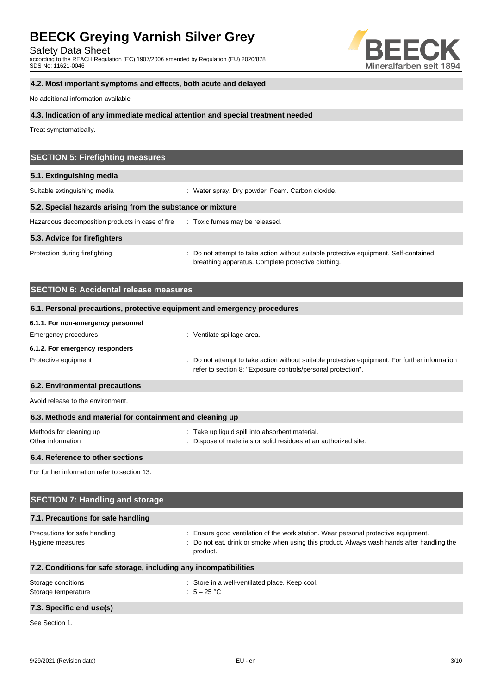Safety Data Sheet

according to the REACH Regulation (EC) 1907/2006 amended by Regulation (EU) 2020/878 SDS No: 11621-0046



# **4.2. Most important symptoms and effects, both acute and delayed**

No additional information available

#### **4.3. Indication of any immediate medical attention and special treatment needed**

Treat symptomatically.

| <b>SECTION 5: Firefighting measures</b>                    |                                                                                                                                             |  |  |
|------------------------------------------------------------|---------------------------------------------------------------------------------------------------------------------------------------------|--|--|
| 5.1. Extinguishing media                                   |                                                                                                                                             |  |  |
| Suitable extinguishing media                               | : Water spray. Dry powder. Foam. Carbon dioxide.                                                                                            |  |  |
| 5.2. Special hazards arising from the substance or mixture |                                                                                                                                             |  |  |
| Hazardous decomposition products in case of fire           | : Toxic fumes may be released.                                                                                                              |  |  |
| 5.3. Advice for firefighters                               |                                                                                                                                             |  |  |
| Protection during firefighting                             | : Do not attempt to take action without suitable protective equipment. Self-contained<br>breathing apparatus. Complete protective clothing. |  |  |

| <b>SECTION 6: Accidental release measures</b>                            |                                                                                                                                                                |  |  |
|--------------------------------------------------------------------------|----------------------------------------------------------------------------------------------------------------------------------------------------------------|--|--|
| 6.1. Personal precautions, protective equipment and emergency procedures |                                                                                                                                                                |  |  |
| 6.1.1. For non-emergency personnel                                       |                                                                                                                                                                |  |  |
| Emergency procedures                                                     | : Ventilate spillage area.                                                                                                                                     |  |  |
| 6.1.2. For emergency responders                                          |                                                                                                                                                                |  |  |
| Protective equipment                                                     | : Do not attempt to take action without suitable protective equipment. For further information<br>refer to section 8: "Exposure controls/personal protection". |  |  |
| 6.2. Environmental precautions                                           |                                                                                                                                                                |  |  |
| Avoid release to the environment.                                        |                                                                                                                                                                |  |  |
| 6.3. Methods and material for containment and cleaning up                |                                                                                                                                                                |  |  |
| Methods for cleaning up<br>Other information                             | : Take up liquid spill into absorbent material.<br>: Dispose of materials or solid residues at an authorized site.                                             |  |  |
| 6.4. Reference to other sections                                         |                                                                                                                                                                |  |  |

For further information refer to section 13.

| <b>SECTION 7: Handling and storage</b>                            |                                                                                                                                                                                          |  |
|-------------------------------------------------------------------|------------------------------------------------------------------------------------------------------------------------------------------------------------------------------------------|--|
| 7.1. Precautions for safe handling                                |                                                                                                                                                                                          |  |
| Precautions for safe handling<br>Hygiene measures                 | Ensure good ventilation of the work station. Wear personal protective equipment.<br>Do not eat, drink or smoke when using this product. Always wash hands after handling the<br>product. |  |
| 7.2. Conditions for safe storage, including any incompatibilities |                                                                                                                                                                                          |  |
| Storage conditions<br>Storage temperature                         | : Store in a well-ventilated place. Keep cool.<br>: $5-25$ °C                                                                                                                            |  |
| 7.3. Specific end use(s)                                          |                                                                                                                                                                                          |  |
| See Section 1.                                                    |                                                                                                                                                                                          |  |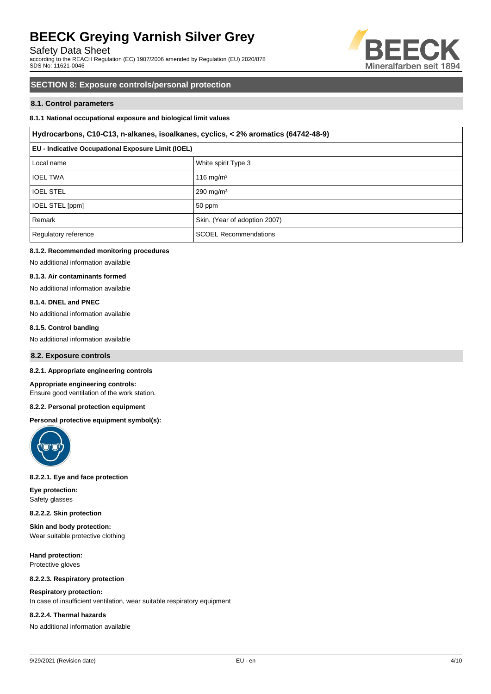Safety Data Sheet

according to the REACH Regulation (EC) 1907/2006 amended by Regulation (EU) 2020/878 SDS No: 11621-0046



# **SECTION 8: Exposure controls/personal protection**

### **8.1. Control parameters**

### **8.1.1 National occupational exposure and biological limit values**

#### **Hydrocarbons, C10-C13, n-alkanes, isoalkanes, cyclics, < 2% aromatics (64742-48-9)**

| <b>EU - Indicative Occupational Exposure Limit (IOEL)</b> |                               |  |
|-----------------------------------------------------------|-------------------------------|--|
| Local name                                                | White spirit Type 3           |  |
| <b>IOEL TWA</b>                                           | 116 mg/m $3$                  |  |
| <b>IOEL STEL</b>                                          | $290$ mg/m <sup>3</sup>       |  |
| IOEL STEL [ppm]                                           | 50 ppm                        |  |
| Remark                                                    | Skin. (Year of adoption 2007) |  |
| Regulatory reference                                      | <b>SCOEL Recommendations</b>  |  |

#### **8.1.2. Recommended monitoring procedures**

No additional information available

#### **8.1.3. Air contaminants formed**

No additional information available

#### **8.1.4. DNEL and PNEC**

No additional information available

#### **8.1.5. Control banding**

No additional information available

#### **8.2. Exposure controls**

#### **8.2.1. Appropriate engineering controls**

#### **Appropriate engineering controls:**

Ensure good ventilation of the work station.

#### **8.2.2. Personal protection equipment**

#### **Personal protective equipment symbol(s):**



#### **8.2.2.1. Eye and face protection**

**Eye protection:** Safety glasses

**8.2.2.2. Skin protection**

**Skin and body protection:** Wear suitable protective clothing

**Hand protection:** Protective gloves

#### **8.2.2.3. Respiratory protection**

#### **Respiratory protection:**

In case of insufficient ventilation, wear suitable respiratory equipment

#### **8.2.2.4. Thermal hazards**

No additional information available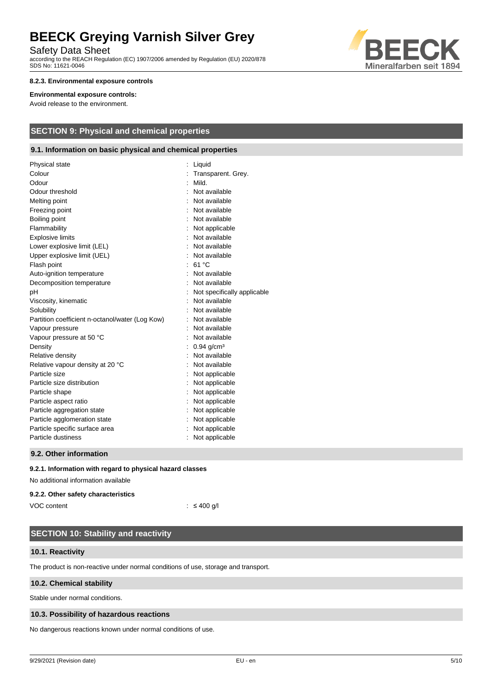Safety Data Sheet

according to the REACH Regulation (EC) 1907/2006 amended by Regulation (EU) 2020/878 SDS No: 11621-0046



### **8.2.3. Environmental exposure controls**

#### **Environmental exposure controls:**

Avoid release to the environment.

# **SECTION 9: Physical and chemical properties**

## **9.1. Information on basic physical and chemical properties**

| Physical state                                  | Liquid                      |
|-------------------------------------------------|-----------------------------|
| Colour                                          | Transparent. Grey.          |
| Odour                                           | Mild.                       |
| Odour threshold                                 | Not available               |
| Melting point                                   | Not available               |
| Freezing point                                  | Not available               |
| Boiling point                                   | Not available               |
| Flammability                                    | Not applicable              |
| <b>Explosive limits</b>                         | Not available               |
| Lower explosive limit (LEL)                     | Not available               |
| Upper explosive limit (UEL)                     | Not available               |
| Flash point                                     | : 61 $^{\circ}$ C           |
| Auto-ignition temperature                       | Not available               |
| Decomposition temperature                       | Not available               |
| pH                                              | Not specifically applicable |
| Viscosity, kinematic                            | Not available               |
| Solubility                                      | Not available               |
| Partition coefficient n-octanol/water (Log Kow) | Not available               |
| Vapour pressure                                 | Not available               |
| Vapour pressure at 50 °C                        | Not available               |
| Density                                         | $0.94$ g/cm <sup>3</sup>    |
| Relative density                                | Not available               |
| Relative vapour density at 20 °C                | Not available               |
| Particle size                                   | Not applicable              |
| Particle size distribution                      | Not applicable              |
| Particle shape                                  | Not applicable              |
| Particle aspect ratio                           | Not applicable              |
| Particle aggregation state                      | Not applicable              |
| Particle agglomeration state                    | Not applicable              |
| Particle specific surface area                  | Not applicable              |
| Particle dustiness                              | Not applicable              |
|                                                 |                             |

#### **9.2. Other information**

#### **9.2.1. Information with regard to physical hazard classes**

No additional information available

#### **9.2.2. Other safety characteristics**

VOC content : ≤ 400 g/l

# **SECTION 10: Stability and reactivity**

#### **10.1. Reactivity**

The product is non-reactive under normal conditions of use, storage and transport.

### **10.2. Chemical stability**

Stable under normal conditions.

#### **10.3. Possibility of hazardous reactions**

No dangerous reactions known under normal conditions of use.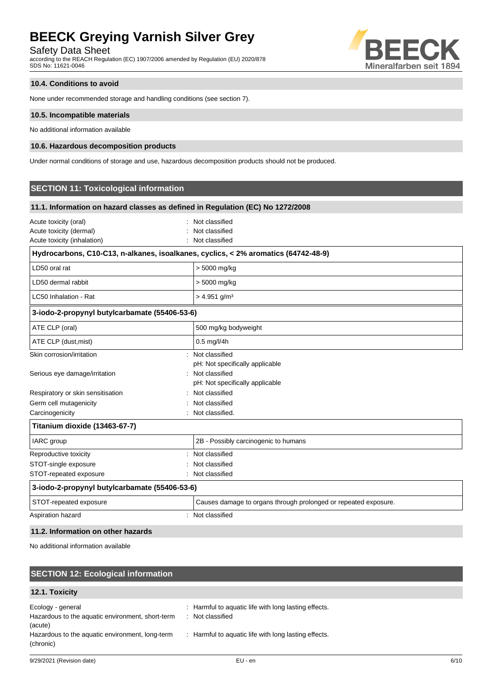Safety Data Sheet

according to the REACH Regulation (EC) 1907/2006 amended by Regulation (EU) 2020/878 SDS No: 11621-0046



## **10.4. Conditions to avoid**

None under recommended storage and handling conditions (see section 7).

#### **10.5. Incompatible materials**

No additional information available

#### **10.6. Hazardous decomposition products**

Under normal conditions of storage and use, hazardous decomposition products should not be produced.

# **SECTION 11: Toxicological information**

| 11.1. Information on hazard classes as defined in Regulation (EC) No 1272/2008     |                                                                 |  |
|------------------------------------------------------------------------------------|-----------------------------------------------------------------|--|
| Acute toxicity (oral)<br>Acute toxicity (dermal)<br>Acute toxicity (inhalation)    | : Not classified<br>Not classified<br>Not classified            |  |
| Hydrocarbons, C10-C13, n-alkanes, isoalkanes, cyclics, < 2% aromatics (64742-48-9) |                                                                 |  |
| LD50 oral rat                                                                      | > 5000 mg/kg                                                    |  |
| LD50 dermal rabbit                                                                 | > 5000 mg/kg                                                    |  |
| LC50 Inhalation - Rat                                                              | $> 4.951$ g/m <sup>3</sup>                                      |  |
| 3-iodo-2-propynyl butylcarbamate (55406-53-6)                                      |                                                                 |  |
| ATE CLP (oral)                                                                     | 500 mg/kg bodyweight                                            |  |
| ATE CLP (dust, mist)                                                               | 0.5 mg/l/4h                                                     |  |
| Skin corrosion/irritation                                                          | Not classified<br>pH: Not specifically applicable               |  |
| Serious eye damage/irritation                                                      | : Not classified<br>pH: Not specifically applicable             |  |
| Respiratory or skin sensitisation                                                  | Not classified                                                  |  |
| Germ cell mutagenicity                                                             | Not classified                                                  |  |
| Carcinogenicity                                                                    | Not classified.                                                 |  |
| Titanium dioxide (13463-67-7)                                                      |                                                                 |  |
| IARC group                                                                         | 2B - Possibly carcinogenic to humans                            |  |
| Reproductive toxicity                                                              | Not classified                                                  |  |
| STOT-single exposure                                                               | Not classified                                                  |  |
| STOT-repeated exposure                                                             | Not classified                                                  |  |
| 3-iodo-2-propynyl butylcarbamate (55406-53-6)                                      |                                                                 |  |
| STOT-repeated exposure                                                             | Causes damage to organs through prolonged or repeated exposure. |  |
| Aspiration hazard                                                                  | Not classified                                                  |  |

## **11.2. Information on other hazards**

No additional information available

## **SECTION 12: Ecological information 12.1. Toxicity** Ecology - general **Ecology** - general  $\cdot$  **Example 2** : Harmful to aquatic life with long lasting effects. Hazardous to the aquatic environment, short-term (acute) : Not classified Hazardous to the aquatic environment, long-term (chronic) : Harmful to aquatic life with long lasting effects.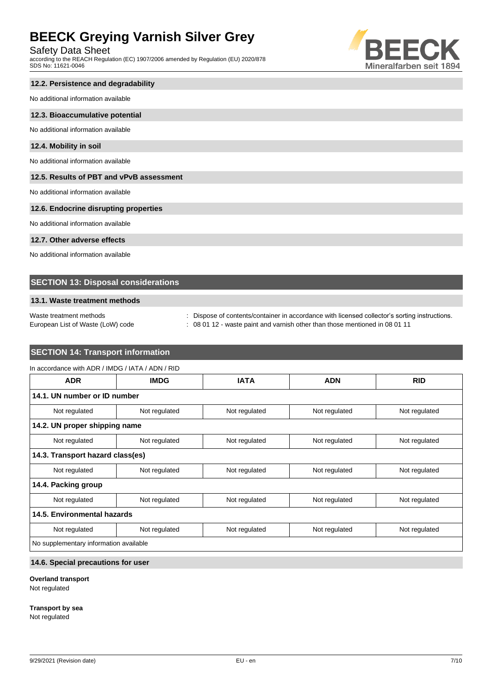Safety Data Sheet

according to the REACH Regulation (EC) 1907/2006 amended by Regulation (EU) 2020/878 SDS No: 11621-0046



# **12.2. Persistence and degradability**

No additional information available

#### **12.3. Bioaccumulative potential**

No additional information available

#### **12.4. Mobility in soil**

No additional information available

## **12.5. Results of PBT and vPvB assessment**

No additional information available

# **12.6. Endocrine disrupting properties**

No additional information available

### **12.7. Other adverse effects**

No additional information available

## **SECTION 13: Disposal considerations**

#### **13.1. Waste treatment methods**

Waste treatment methods : Dispose of contents/container in accordance with licensed collector's sorting instructions. European List of Waste (LoW) code : 08 01 12 - waste paint and varnish other than those mentioned in 08 01 11

# **SECTION 14: Transport information**

| <b>ADR</b>                             | <b>IMDG</b>   | <b>IATA</b>   | <b>ADN</b>    | <b>RID</b>    |
|----------------------------------------|---------------|---------------|---------------|---------------|
| 14.1. UN number or ID number           |               |               |               |               |
| Not regulated                          | Not regulated | Not regulated | Not regulated | Not regulated |
| 14.2. UN proper shipping name          |               |               |               |               |
| Not regulated                          | Not regulated | Not regulated | Not regulated | Not regulated |
| 14.3. Transport hazard class(es)       |               |               |               |               |
| Not regulated                          | Not regulated | Not regulated | Not regulated | Not regulated |
| 14.4. Packing group                    |               |               |               |               |
| Not regulated                          | Not regulated | Not regulated | Not regulated | Not regulated |
| 14.5. Environmental hazards            |               |               |               |               |
| Not regulated                          | Not regulated | Not regulated | Not regulated | Not regulated |
| No supplementary information available |               |               |               |               |

# **14.6. Special precautions for user**

## **Overland transport**

Not regulated

#### **Transport by sea**

Not regulated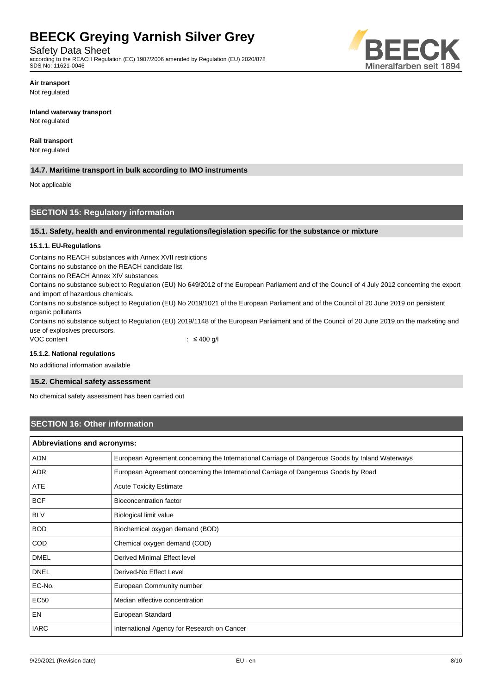Safety Data Sheet

according to the REACH Regulation (EC) 1907/2006 amended by Regulation (EU) 2020/878 SDS No: 11621-0046



**Air transport** Not regulated

#### **Inland waterway transport**

Not regulated

### **Rail transport**

Not regulated

# **14.7. Maritime transport in bulk according to IMO instruments**

Not applicable

# **SECTION 15: Regulatory information**

#### **15.1. Safety, health and environmental regulations/legislation specific for the substance or mixture**

#### **15.1.1. EU-Regulations**

Contains no REACH substances with Annex XVII restrictions

Contains no substance on the REACH candidate list

Contains no REACH Annex XIV substances

Contains no substance subject to Regulation (EU) No 649/2012 of the European Parliament and of the Council of 4 July 2012 concerning the export and import of hazardous chemicals.

Contains no substance subject to Regulation (EU) No 2019/1021 of the European Parliament and of the Council of 20 June 2019 on persistent organic pollutants

Contains no substance subject to Regulation (EU) 2019/1148 of the European Parliament and of the Council of 20 June 2019 on the marketing and use of explosives precursors.

VOC content : ≤ 400 g/l

#### **15.1.2. National regulations**

No additional information available

### **15.2. Chemical safety assessment**

No chemical safety assessment has been carried out

# **SECTION 16: Other information**

| Abbreviations and acronyms: |                                                                                                 |  |
|-----------------------------|-------------------------------------------------------------------------------------------------|--|
| <b>ADN</b>                  | European Agreement concerning the International Carriage of Dangerous Goods by Inland Waterways |  |
| <b>ADR</b>                  | European Agreement concerning the International Carriage of Dangerous Goods by Road             |  |
| ATE                         | <b>Acute Toxicity Estimate</b>                                                                  |  |
| <b>BCF</b>                  | <b>Bioconcentration factor</b>                                                                  |  |
| <b>BLV</b>                  | Biological limit value                                                                          |  |
| <b>BOD</b>                  | Biochemical oxygen demand (BOD)                                                                 |  |
| COD                         | Chemical oxygen demand (COD)                                                                    |  |
| <b>DMEL</b>                 | Derived Minimal Effect level                                                                    |  |
| <b>DNEL</b>                 | Derived-No Effect Level                                                                         |  |
| EC-No.                      | European Community number                                                                       |  |
| <b>EC50</b>                 | Median effective concentration                                                                  |  |
| EN                          | European Standard                                                                               |  |
| <b>IARC</b>                 | International Agency for Research on Cancer                                                     |  |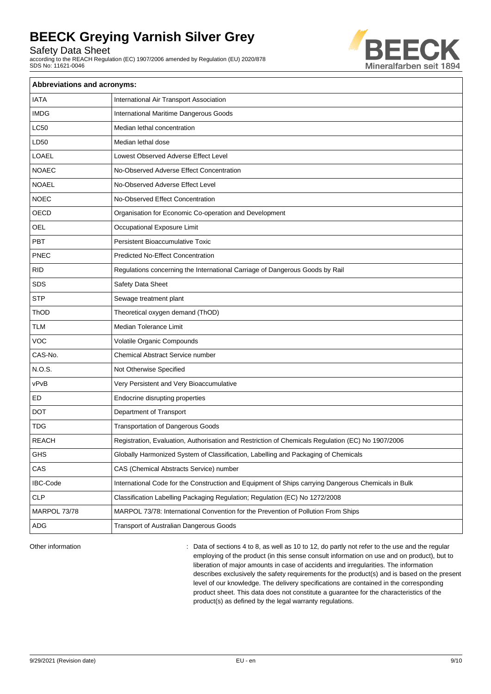Safety Data Sheet

according to the REACH Regulation (EC) 1907/2006 amended by Regulation (EU) 2020/878 SDS No: 11621-0046



| <b>Abbreviations and acronyms:</b> |                                                                                                     |  |
|------------------------------------|-----------------------------------------------------------------------------------------------------|--|
| <b>IATA</b>                        | International Air Transport Association                                                             |  |
| <b>IMDG</b>                        | International Maritime Dangerous Goods                                                              |  |
| <b>LC50</b>                        | Median lethal concentration                                                                         |  |
| LD50                               | Median lethal dose                                                                                  |  |
| LOAEL                              | Lowest Observed Adverse Effect Level                                                                |  |
| <b>NOAEC</b>                       | No-Observed Adverse Effect Concentration                                                            |  |
| <b>NOAEL</b>                       | No-Observed Adverse Effect Level                                                                    |  |
| <b>NOEC</b>                        | No-Observed Effect Concentration                                                                    |  |
| OECD                               | Organisation for Economic Co-operation and Development                                              |  |
| <b>OEL</b>                         | Occupational Exposure Limit                                                                         |  |
| PBT                                | <b>Persistent Bioaccumulative Toxic</b>                                                             |  |
| <b>PNEC</b>                        | <b>Predicted No-Effect Concentration</b>                                                            |  |
| <b>RID</b>                         | Regulations concerning the International Carriage of Dangerous Goods by Rail                        |  |
| <b>SDS</b>                         | Safety Data Sheet                                                                                   |  |
| <b>STP</b>                         | Sewage treatment plant                                                                              |  |
| ThOD                               | Theoretical oxygen demand (ThOD)                                                                    |  |
| <b>TLM</b>                         | Median Tolerance Limit                                                                              |  |
| <b>VOC</b>                         | Volatile Organic Compounds                                                                          |  |
| CAS-No.                            | <b>Chemical Abstract Service number</b>                                                             |  |
| N.O.S.                             | Not Otherwise Specified                                                                             |  |
| vPvB                               | Very Persistent and Very Bioaccumulative                                                            |  |
| ED                                 | Endocrine disrupting properties                                                                     |  |
| <b>DOT</b>                         | Department of Transport                                                                             |  |
| <b>TDG</b>                         | <b>Transportation of Dangerous Goods</b>                                                            |  |
| <b>REACH</b>                       | Registration, Evaluation, Authorisation and Restriction of Chemicals Regulation (EC) No 1907/2006   |  |
| <b>GHS</b>                         | Globally Harmonized System of Classification, Labelling and Packaging of Chemicals                  |  |
| CAS                                | CAS (Chemical Abstracts Service) number                                                             |  |
| <b>IBC-Code</b>                    | International Code for the Construction and Equipment of Ships carrying Dangerous Chemicals in Bulk |  |
| <b>CLP</b>                         | Classification Labelling Packaging Regulation; Regulation (EC) No 1272/2008                         |  |
| MARPOL 73/78                       | MARPOL 73/78: International Convention for the Prevention of Pollution From Ships                   |  |
| ADG                                | Transport of Australian Dangerous Goods                                                             |  |

Other information **interest in the regular** : Data of sections 4 to 8, as well as 10 to 12, do partly not refer to the use and the regular employing of the product (in this sense consult information on use and on product), but to liberation of major amounts in case of accidents and irregularities. The information describes exclusively the safety requirements for the product(s) and is based on the present level of our knowledge. The delivery specifications are contained in the corresponding product sheet. This data does not constitute a guarantee for the characteristics of the product(s) as defined by the legal warranty regulations.